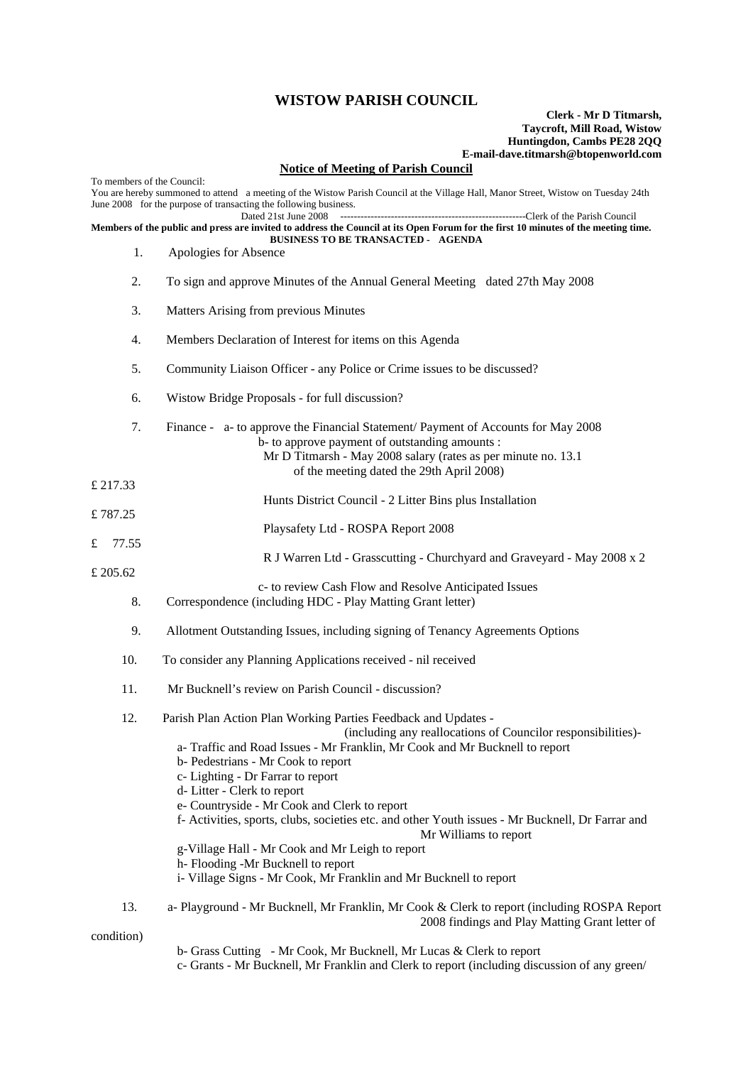## **WISTOW PARISH COUNCIL**

## **Clerk - Mr D Titmarsh, Taycroft, Mill Road, Wistow Huntingdon, Cambs PE28 2QQ E-mail-dave.titmarsh@btopenworld.com**

## **Notice of Meeting of Parish Council**

| To members of the Council:                                                                                                                                                      |                                                                                                                                                                                                                                                                                                                                                                                                                                                                                                                                                                                                                                                                 |
|---------------------------------------------------------------------------------------------------------------------------------------------------------------------------------|-----------------------------------------------------------------------------------------------------------------------------------------------------------------------------------------------------------------------------------------------------------------------------------------------------------------------------------------------------------------------------------------------------------------------------------------------------------------------------------------------------------------------------------------------------------------------------------------------------------------------------------------------------------------|
|                                                                                                                                                                                 | You are hereby summoned to attend a meeting of the Wistow Parish Council at the Village Hall, Manor Street, Wistow on Tuesday 24th<br>June 2008 for the purpose of transacting the following business.<br>Dated 21st June 2008                                                                                                                                                                                                                                                                                                                                                                                                                                  |
| Members of the public and press are invited to address the Council at its Open Forum for the first 10 minutes of the meeting time.<br><b>BUSINESS TO BE TRANSACTED - AGENDA</b> |                                                                                                                                                                                                                                                                                                                                                                                                                                                                                                                                                                                                                                                                 |
| 1.                                                                                                                                                                              | Apologies for Absence                                                                                                                                                                                                                                                                                                                                                                                                                                                                                                                                                                                                                                           |
| 2.                                                                                                                                                                              | To sign and approve Minutes of the Annual General Meeting dated 27th May 2008                                                                                                                                                                                                                                                                                                                                                                                                                                                                                                                                                                                   |
| 3.                                                                                                                                                                              | Matters Arising from previous Minutes                                                                                                                                                                                                                                                                                                                                                                                                                                                                                                                                                                                                                           |
| 4.                                                                                                                                                                              | Members Declaration of Interest for items on this Agenda                                                                                                                                                                                                                                                                                                                                                                                                                                                                                                                                                                                                        |
| 5.                                                                                                                                                                              | Community Liaison Officer - any Police or Crime issues to be discussed?                                                                                                                                                                                                                                                                                                                                                                                                                                                                                                                                                                                         |
| 6.                                                                                                                                                                              | Wistow Bridge Proposals - for full discussion?                                                                                                                                                                                                                                                                                                                                                                                                                                                                                                                                                                                                                  |
| 7.                                                                                                                                                                              | Finance - a- to approve the Financial Statement/ Payment of Accounts for May 2008<br>b- to approve payment of outstanding amounts :<br>Mr D Titmarsh - May 2008 salary (rates as per minute no. 13.1)<br>of the meeting dated the 29th April 2008)                                                                                                                                                                                                                                                                                                                                                                                                              |
| £ 217.33                                                                                                                                                                        | Hunts District Council - 2 Litter Bins plus Installation                                                                                                                                                                                                                                                                                                                                                                                                                                                                                                                                                                                                        |
| £787.25                                                                                                                                                                         |                                                                                                                                                                                                                                                                                                                                                                                                                                                                                                                                                                                                                                                                 |
| £<br>77.55                                                                                                                                                                      | Playsafety Ltd - ROSPA Report 2008                                                                                                                                                                                                                                                                                                                                                                                                                                                                                                                                                                                                                              |
| £ 205.62                                                                                                                                                                        | R J Warren Ltd - Grasscutting - Churchyard and Graveyard - May 2008 x 2                                                                                                                                                                                                                                                                                                                                                                                                                                                                                                                                                                                         |
| 8.                                                                                                                                                                              | c- to review Cash Flow and Resolve Anticipated Issues<br>Correspondence (including HDC - Play Matting Grant letter)                                                                                                                                                                                                                                                                                                                                                                                                                                                                                                                                             |
| 9.                                                                                                                                                                              | Allotment Outstanding Issues, including signing of Tenancy Agreements Options                                                                                                                                                                                                                                                                                                                                                                                                                                                                                                                                                                                   |
| 10.                                                                                                                                                                             | To consider any Planning Applications received - nil received                                                                                                                                                                                                                                                                                                                                                                                                                                                                                                                                                                                                   |
| 11.                                                                                                                                                                             | Mr Bucknell's review on Parish Council - discussion?                                                                                                                                                                                                                                                                                                                                                                                                                                                                                                                                                                                                            |
| 12.                                                                                                                                                                             | Parish Plan Action Plan Working Parties Feedback and Updates -<br>(including any reallocations of Councilor responsibilities)-<br>a-Traffic and Road Issues - Mr Franklin, Mr Cook and Mr Bucknell to report<br>b- Pedestrians - Mr Cook to report<br>c- Lighting - Dr Farrar to report<br>d-Litter - Clerk to report<br>e- Countryside - Mr Cook and Clerk to report<br>f- Activities, sports, clubs, societies etc. and other Youth issues - Mr Bucknell, Dr Farrar and<br>Mr Williams to report<br>g-Village Hall - Mr Cook and Mr Leigh to report<br>h-Flooding -Mr Bucknell to report<br>i- Village Signs - Mr Cook, Mr Franklin and Mr Bucknell to report |
| 13.                                                                                                                                                                             | a- Playground - Mr Bucknell, Mr Franklin, Mr Cook & Clerk to report (including ROSPA Report<br>2008 findings and Play Matting Grant letter of                                                                                                                                                                                                                                                                                                                                                                                                                                                                                                                   |
| condition)                                                                                                                                                                      |                                                                                                                                                                                                                                                                                                                                                                                                                                                                                                                                                                                                                                                                 |

- b- Grass Cutting Mr Cook, Mr Bucknell, Mr Lucas & Clerk to report
- c- Grants Mr Bucknell, Mr Franklin and Clerk to report (including discussion of any green/